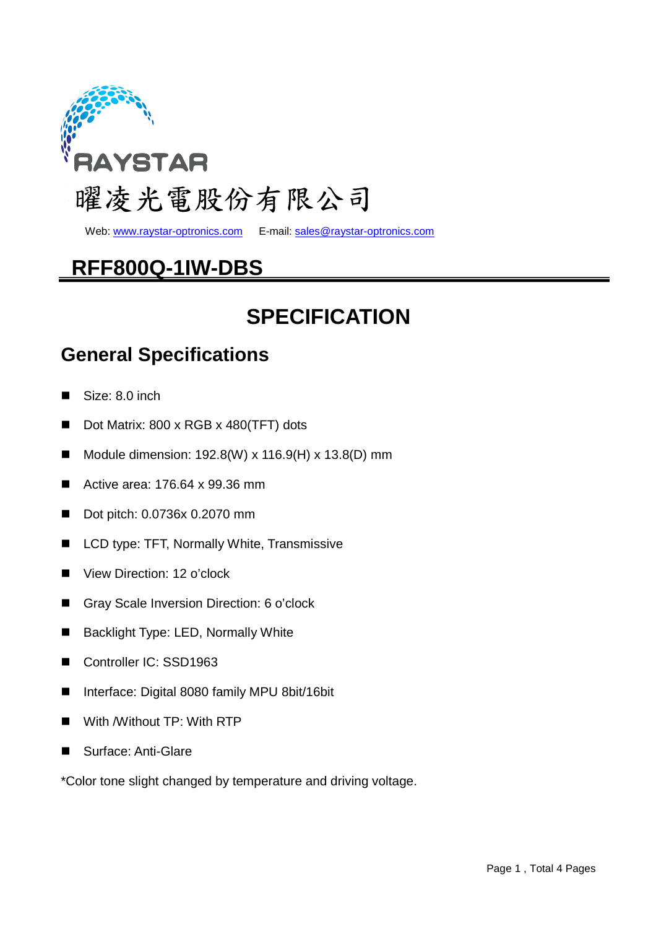

Web: www.raystar-optronics.com E-mail: sales@raystar-optronics.com

## **RFF800Q-1IW-DBS**

# **SPECIFICATION**

#### **General Specifications**

- Size: 8.0 inch
- Dot Matrix: 800 x RGB x 480(TFT) dots
- Module dimension:  $192.8(W) \times 116.9(H) \times 13.8(D)$  mm
- Active area: 176.64 x 99.36 mm
- Dot pitch: 0.0736x 0.2070 mm
- LCD type: TFT, Normally White, Transmissive
- View Direction: 12 o'clock
- Gray Scale Inversion Direction: 6 o'clock
- Backlight Type: LED, Normally White
- Controller IC: SSD1963
- Interface: Digital 8080 family MPU 8bit/16bit
- With /Without TP: With RTP
- Surface: Anti-Glare

\*Color tone slight changed by temperature and driving voltage.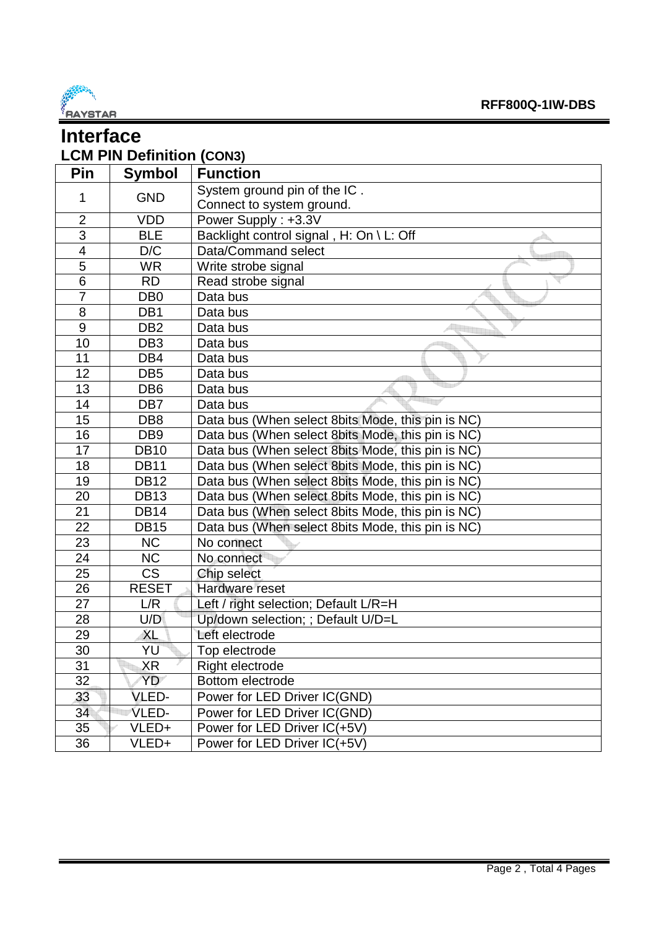

| <b>Interface</b>                        |                        |                                                   |  |  |  |  |  |
|-----------------------------------------|------------------------|---------------------------------------------------|--|--|--|--|--|
| <b>LCM PIN Definition (CON3)</b>        |                        |                                                   |  |  |  |  |  |
| Pin<br><b>Function</b><br><b>Symbol</b> |                        |                                                   |  |  |  |  |  |
|                                         |                        | System ground pin of the IC.                      |  |  |  |  |  |
| 1                                       | <b>GND</b>             | Connect to system ground.                         |  |  |  |  |  |
| $\overline{2}$                          | <b>VDD</b>             | Power Supply: +3.3V                               |  |  |  |  |  |
| $\overline{3}$                          | <b>BLE</b>             | Backlight control signal , H: On \ L: Off         |  |  |  |  |  |
| $\overline{\mathbf{4}}$                 | D/C                    | Data/Command select                               |  |  |  |  |  |
| 5                                       | <b>WR</b>              | Write strobe signal                               |  |  |  |  |  |
| 6                                       | <b>RD</b>              | Read strobe signal                                |  |  |  |  |  |
| $\overline{7}$                          | DB <sub>0</sub>        | Data bus                                          |  |  |  |  |  |
| 8                                       | DB1                    | Data bus                                          |  |  |  |  |  |
| 9                                       | DB <sub>2</sub>        | Data bus                                          |  |  |  |  |  |
| 10                                      | DB <sub>3</sub>        | Data bus                                          |  |  |  |  |  |
| 11                                      | DB4                    | Data bus                                          |  |  |  |  |  |
| 12                                      | DB <sub>5</sub>        | Data bus                                          |  |  |  |  |  |
| 13                                      | DB <sub>6</sub>        | Data bus                                          |  |  |  |  |  |
| 14                                      | DB7                    | Data bus                                          |  |  |  |  |  |
| 15                                      | DB <sub>8</sub>        | Data bus (When select 8bits Mode, this pin is NC) |  |  |  |  |  |
| 16                                      | DB <sub>9</sub>        | Data bus (When select 8bits Mode, this pin is NC) |  |  |  |  |  |
| 17                                      | <b>DB10</b>            | Data bus (When select 8bits Mode, this pin is NC) |  |  |  |  |  |
| 18                                      | <b>DB11</b>            | Data bus (When select 8bits Mode, this pin is NC) |  |  |  |  |  |
| 19                                      | <b>DB12</b>            | Data bus (When select 8bits Mode, this pin is NC) |  |  |  |  |  |
| 20                                      | <b>DB13</b>            | Data bus (When select 8bits Mode, this pin is NC) |  |  |  |  |  |
| 21                                      | <b>DB14</b>            | Data bus (When select 8bits Mode, this pin is NC) |  |  |  |  |  |
| 22                                      | <b>DB15</b>            | Data bus (When select 8bits Mode, this pin is NC) |  |  |  |  |  |
| 23                                      | <b>NC</b>              | No connect                                        |  |  |  |  |  |
| 24                                      | <b>NC</b>              | No connect                                        |  |  |  |  |  |
| 25                                      | $\overline{\text{CS}}$ | Chip select                                       |  |  |  |  |  |
| 26                                      | <b>RESET</b>           | Hardware reset                                    |  |  |  |  |  |
| 27                                      | L/R                    | Left / right selection; Default L/R=H             |  |  |  |  |  |
| 28                                      | U/D                    | Up/down selection; ; Default U/D=L                |  |  |  |  |  |
| 29                                      | <b>XL</b>              | Left electrode                                    |  |  |  |  |  |
| 30                                      | YU                     | Top electrode                                     |  |  |  |  |  |
| 31                                      | XR                     | Right electrode                                   |  |  |  |  |  |
| 32                                      | YD                     | Bottom electrode                                  |  |  |  |  |  |
| 33                                      | VLED-                  | Power for LED Driver IC(GND)                      |  |  |  |  |  |
| 34                                      | VLED-                  | Power for LED Driver IC(GND)                      |  |  |  |  |  |
| 35                                      | VLED+                  | Power for LED Driver IC(+5V)                      |  |  |  |  |  |
| 36                                      | VLED+                  | Power for LED Driver IC(+5V)                      |  |  |  |  |  |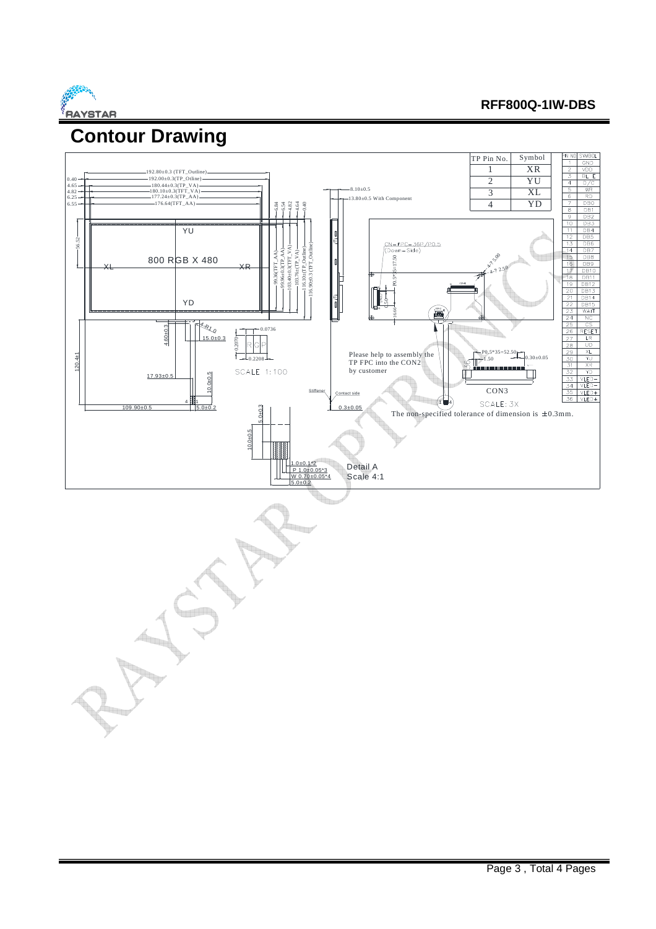

#### **RFF800Q-1IW-DBS**

# **Contour Drawing**